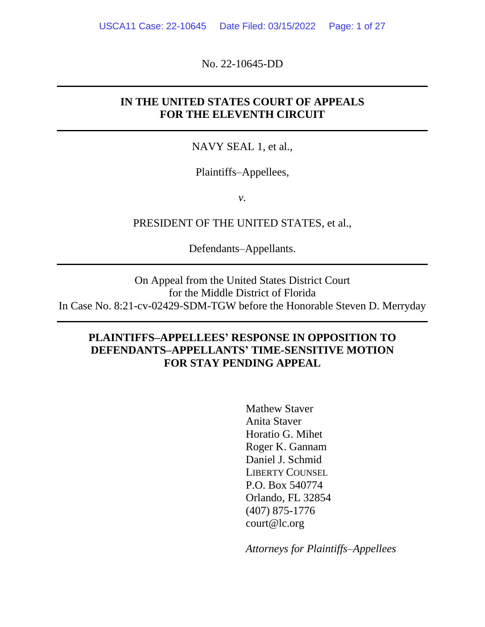No. 22-10645-DD

# **IN THE UNITED STATES COURT OF APPEALS FOR THE ELEVENTH CIRCUIT**

NAVY SEAL 1, et al.,

#### Plaintiffs–Appellees,

*v.*

PRESIDENT OF THE UNITED STATES, et al.,

Defendants–Appellants.

On Appeal from the United States District Court for the Middle District of Florida In Case No. 8:21-cv-02429-SDM-TGW before the Honorable Steven D. Merryday

## **PLAINTIFFS–APPELLEES' RESPONSE IN OPPOSITION TO DEFENDANTS–APPELLANTS' TIME-SENSITIVE MOTION FOR STAY PENDING APPEAL**

Mathew Staver Anita Staver Horatio G. Mihet Roger K. Gannam Daniel J. Schmid LIBERTY COUNSEL P.O. Box 540774 Orlando, FL 32854 (407) 875-1776 court@lc.org

*Attorneys for Plaintiffs–Appellees*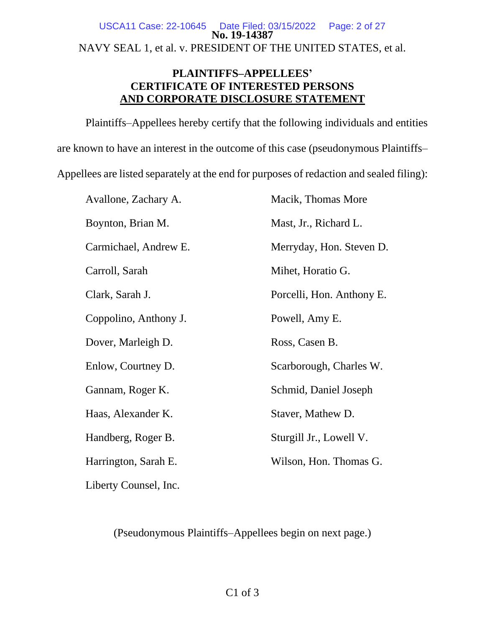**No. 19-14387** NAVY SEAL 1, et al. v. PRESIDENT OF THE UNITED STATES, et al. USCA11 Case: 22-10645 Date Filed: 03/15/2022 Page: 2 of 27

## **PLAINTIFFS–APPELLEES' CERTIFICATE OF INTERESTED PERSONS AND CORPORATE DISCLOSURE STATEMENT**

Plaintiffs–Appellees hereby certify that the following individuals and entities are known to have an interest in the outcome of this case (pseudonymous Plaintiffs– Appellees are listed separately at the end for purposes of redaction and sealed filing):

| Avallone, Zachary A.  | Macik, Thomas More        |
|-----------------------|---------------------------|
| Boynton, Brian M.     | Mast, Jr., Richard L.     |
| Carmichael, Andrew E. | Merryday, Hon. Steven D.  |
| Carroll, Sarah        | Mihet, Horatio G.         |
| Clark, Sarah J.       | Porcelli, Hon. Anthony E. |
| Coppolino, Anthony J. | Powell, Amy E.            |
| Dover, Marleigh D.    | Ross, Casen B.            |
| Enlow, Courtney D.    | Scarborough, Charles W.   |
| Gannam, Roger K.      | Schmid, Daniel Joseph     |
| Haas, Alexander K.    | Staver, Mathew D.         |
| Handberg, Roger B.    | Sturgill Jr., Lowell V.   |
| Harrington, Sarah E.  | Wilson, Hon. Thomas G.    |
| Liberty Counsel, Inc. |                           |

(Pseudonymous Plaintiffs–Appellees begin on next page.)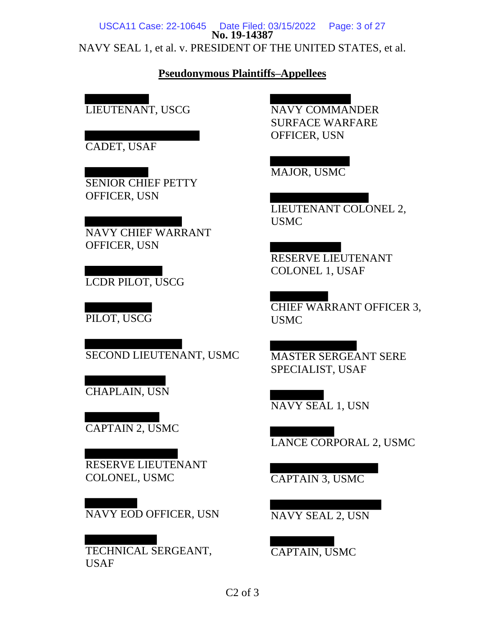**No. 19-14387** NAVY SEAL 1, et al. v. PRESIDENT OF THE UNITED STATES, et al. USCA11 Case: 22-10645 Date Filed: 03/15/2022 Page: 3 of 27

#### **Pseudonymous Plaintiffs–Appellees**

LIEUTENANT, USCG

CADET, USAF

SENIOR CHIEF PETTY OFFICER, USN

NAVY CHIEF WARRANT OFFICER, USN

LCDR PILOT, USCG

PILOT, USCG

SECOND LIEUTENANT, USMC

CHAPLAIN, USN

CAPTAIN 2, USMC

RESERVE LIEUTENANT COLONEL, USMC

NAVY EOD OFFICER, USN

TECHNICAL SERGEANT, USAF

NAVY COMMANDER SURFACE WARFARE OFFICER, USN

MAJOR, USMC

LIEUTENANT COLONEL 2, USMC

RESERVE LIEUTENANT COLONEL 1, USAF

CHIEF WARRANT OFFICER 3, USMC

MASTER SERGEANT SERE SPECIALIST, USAF

NAVY SEAL 1, USN

LANCE CORPORAL 2, USMC

CAPTAIN 3, USMC

NAVY SEAL 2, USN

CAPTAIN, USMC

 $C2$  of 3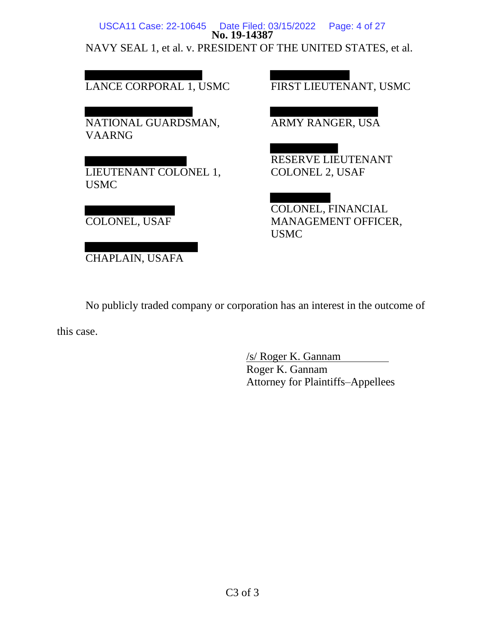**No. 19-14387** NAVY SEAL 1, et al. v. PRESIDENT OF THE UNITED STATES, et al. USCA11 Case: 22-10645 Date Filed: 03/15/2022 Page: 4 of 27

LANCE CORPORAL 1, USMC

NATIONAL GUARDSMAN, VAARNG

LIEUTENANT COLONEL 1, USMC

COLONEL, USAF

CHAPLAIN, USAFA

FIRST LIEUTENANT, USMC

ARMY RANGER, USA

RESERVE LIEUTENANT COLONEL 2, USAF

COLONEL, FINANCIAL MANAGEMENT OFFICER, USMC

No publicly traded company or corporation has an interest in the outcome of

this case.

/s/ Roger K. Gannam Roger K. Gannam Attorney for Plaintiffs–Appellees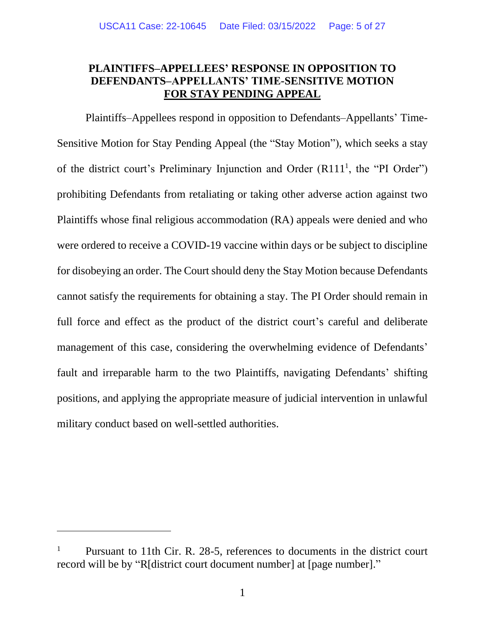## **PLAINTIFFS–APPELLEES' RESPONSE IN OPPOSITION TO DEFENDANTS–APPELLANTS' TIME-SENSITIVE MOTION FOR STAY PENDING APPEAL**

Plaintiffs–Appellees respond in opposition to Defendants–Appellants' Time-Sensitive Motion for Stay Pending Appeal (the "Stay Motion"), which seeks a stay of the district court's Preliminary Injunction and Order (R111<sup>1</sup>, the "PI Order") prohibiting Defendants from retaliating or taking other adverse action against two Plaintiffs whose final religious accommodation (RA) appeals were denied and who were ordered to receive a COVID-19 vaccine within days or be subject to discipline for disobeying an order. The Court should deny the Stay Motion because Defendants cannot satisfy the requirements for obtaining a stay. The PI Order should remain in full force and effect as the product of the district court's careful and deliberate management of this case, considering the overwhelming evidence of Defendants' fault and irreparable harm to the two Plaintiffs, navigating Defendants' shifting positions, and applying the appropriate measure of judicial intervention in unlawful military conduct based on well-settled authorities.

Pursuant to 11th Cir. R. 28-5, references to documents in the district court record will be by "R[district court document number] at [page number]."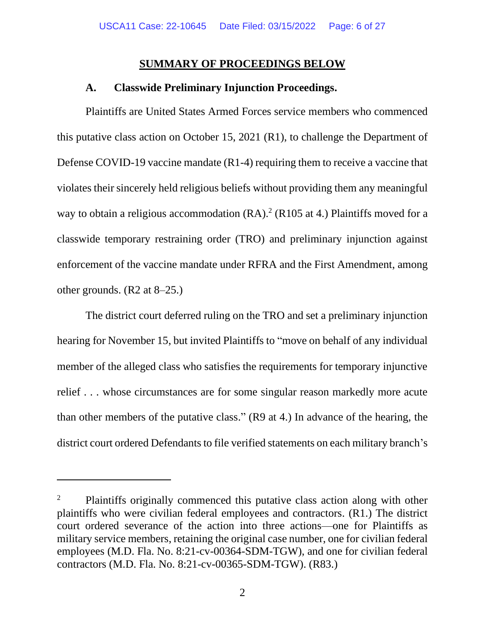#### **SUMMARY OF PROCEEDINGS BELOW**

#### **A. Classwide Preliminary Injunction Proceedings.**

Plaintiffs are United States Armed Forces service members who commenced this putative class action on October 15, 2021 (R1), to challenge the Department of Defense COVID-19 vaccine mandate (R1-4) requiring them to receive a vaccine that violates their sincerely held religious beliefs without providing them any meaningful way to obtain a religious accommodation  $(RA)$ .<sup>2</sup>  $(R105$  at 4.) Plaintiffs moved for a classwide temporary restraining order (TRO) and preliminary injunction against enforcement of the vaccine mandate under RFRA and the First Amendment, among other grounds. (R2 at 8–25.)

The district court deferred ruling on the TRO and set a preliminary injunction hearing for November 15, but invited Plaintiffs to "move on behalf of any individual member of the alleged class who satisfies the requirements for temporary injunctive relief . . . whose circumstances are for some singular reason markedly more acute than other members of the putative class." (R9 at 4.) In advance of the hearing, the district court ordered Defendants to file verified statements on each military branch's

<sup>&</sup>lt;sup>2</sup> Plaintiffs originally commenced this putative class action along with other plaintiffs who were civilian federal employees and contractors. (R1.) The district court ordered severance of the action into three actions—one for Plaintiffs as military service members, retaining the original case number, one for civilian federal employees (M.D. Fla. No. 8:21-cv-00364-SDM-TGW), and one for civilian federal contractors (M.D. Fla. No. 8:21-cv-00365-SDM-TGW). (R83.)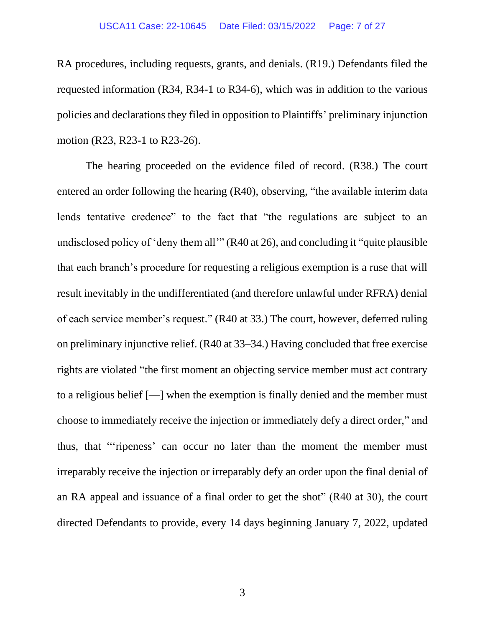RA procedures, including requests, grants, and denials. (R19.) Defendants filed the requested information (R34, R34-1 to R34-6), which was in addition to the various policies and declarations they filed in opposition to Plaintiffs' preliminary injunction motion (R23, R23-1 to R23-26).

The hearing proceeded on the evidence filed of record. (R38.) The court entered an order following the hearing (R40), observing, "the available interim data lends tentative credence" to the fact that "the regulations are subject to an undisclosed policy of 'deny them all'" (R40 at 26), and concluding it "quite plausible that each branch's procedure for requesting a religious exemption is a ruse that will result inevitably in the undifferentiated (and therefore unlawful under RFRA) denial of each service member's request." (R40 at 33.) The court, however, deferred ruling on preliminary injunctive relief. (R40 at 33–34.) Having concluded that free exercise rights are violated "the first moment an objecting service member must act contrary to a religious belief [—] when the exemption is finally denied and the member must choose to immediately receive the injection or immediately defy a direct order," and thus, that "'ripeness' can occur no later than the moment the member must irreparably receive the injection or irreparably defy an order upon the final denial of an RA appeal and issuance of a final order to get the shot" (R40 at 30), the court directed Defendants to provide, every 14 days beginning January 7, 2022, updated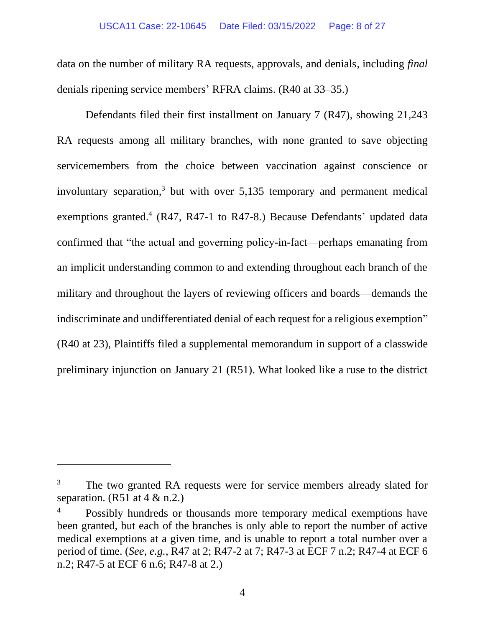#### USCA11 Case: 22-10645 Date Filed: 03/15/2022 Page: 8 of 27

data on the number of military RA requests, approvals, and denials, including *final* denials ripening service members' RFRA claims. (R40 at 33–35.)

Defendants filed their first installment on January 7 (R47), showing 21,243 RA requests among all military branches, with none granted to save objecting servicemembers from the choice between vaccination against conscience or involuntary separation, <sup>3</sup> but with over 5,135 temporary and permanent medical exemptions granted.<sup>4</sup> (R47, R47-1 to R47-8.) Because Defendants' updated data confirmed that "the actual and governing policy-in-fact—perhaps emanating from an implicit understanding common to and extending throughout each branch of the military and throughout the layers of reviewing officers and boards—demands the indiscriminate and undifferentiated denial of each request for a religious exemption" (R40 at 23), Plaintiffs filed a supplemental memorandum in support of a classwide preliminary injunction on January 21 (R51). What looked like a ruse to the district

<sup>&</sup>lt;sup>3</sup> The two granted RA requests were for service members already slated for separation. (R51 at  $4 \& n.2$ .)

Possibly hundreds or thousands more temporary medical exemptions have been granted, but each of the branches is only able to report the number of active medical exemptions at a given time, and is unable to report a total number over a period of time. (*See, e.g.*, R47 at 2; R47-2 at 7; R47-3 at ECF 7 n.2; R47-4 at ECF 6 n.2; R47-5 at ECF 6 n.6; R47-8 at 2.)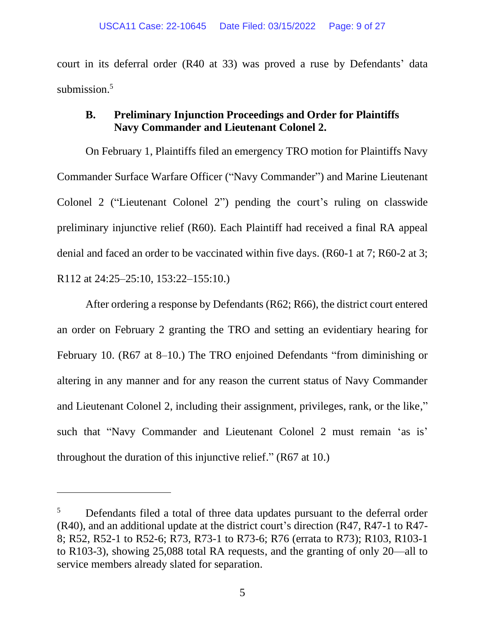court in its deferral order (R40 at 33) was proved a ruse by Defendants' data submission. 5

# **B. Preliminary Injunction Proceedings and Order for Plaintiffs Navy Commander and Lieutenant Colonel 2.**

On February 1, Plaintiffs filed an emergency TRO motion for Plaintiffs Navy Commander Surface Warfare Officer ("Navy Commander") and Marine Lieutenant Colonel 2 ("Lieutenant Colonel 2") pending the court's ruling on classwide preliminary injunctive relief (R60). Each Plaintiff had received a final RA appeal denial and faced an order to be vaccinated within five days. (R60-1 at 7; R60-2 at 3; R112 at 24:25–25:10, 153:22–155:10.)

After ordering a response by Defendants (R62; R66), the district court entered an order on February 2 granting the TRO and setting an evidentiary hearing for February 10. (R67 at 8–10.) The TRO enjoined Defendants "from diminishing or altering in any manner and for any reason the current status of Navy Commander and Lieutenant Colonel 2, including their assignment, privileges, rank, or the like," such that "Navy Commander and Lieutenant Colonel 2 must remain 'as is' throughout the duration of this injunctive relief." (R67 at 10.)

<sup>&</sup>lt;sup>5</sup> Defendants filed a total of three data updates pursuant to the deferral order (R40), and an additional update at the district court's direction (R47, R47-1 to R47- 8; R52, R52-1 to R52-6; R73, R73-1 to R73-6; R76 (errata to R73); R103, R103-1 to R103-3), showing 25,088 total RA requests, and the granting of only 20—all to service members already slated for separation.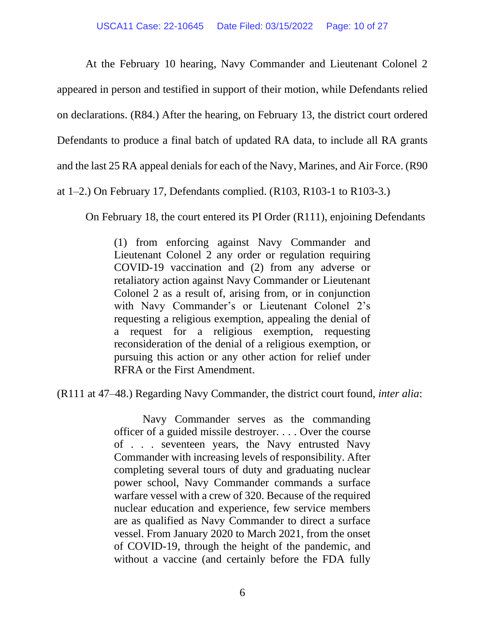At the February 10 hearing, Navy Commander and Lieutenant Colonel 2

appeared in person and testified in support of their motion, while Defendants relied

on declarations. (R84.) After the hearing, on February 13, the district court ordered

Defendants to produce a final batch of updated RA data, to include all RA grants

and the last 25 RA appeal denials for each of the Navy, Marines, and Air Force. (R90

at 1–2.) On February 17, Defendants complied. (R103, R103-1 to R103-3.)

On February 18, the court entered its PI Order (R111), enjoining Defendants

(1) from enforcing against Navy Commander and Lieutenant Colonel 2 any order or regulation requiring COVID-19 vaccination and (2) from any adverse or retaliatory action against Navy Commander or Lieutenant Colonel 2 as a result of, arising from, or in conjunction with Navy Commander's or Lieutenant Colonel 2's requesting a religious exemption, appealing the denial of a request for a religious exemption, requesting reconsideration of the denial of a religious exemption, or pursuing this action or any other action for relief under RFRA or the First Amendment.

(R111 at 47–48.) Regarding Navy Commander, the district court found, *inter alia*:

Navy Commander serves as the commanding officer of a guided missile destroyer. . . . Over the course of . . . seventeen years, the Navy entrusted Navy Commander with increasing levels of responsibility. After completing several tours of duty and graduating nuclear power school, Navy Commander commands a surface warfare vessel with a crew of 320. Because of the required nuclear education and experience, few service members are as qualified as Navy Commander to direct a surface vessel. From January 2020 to March 2021, from the onset of COVID-19, through the height of the pandemic, and without a vaccine (and certainly before the FDA fully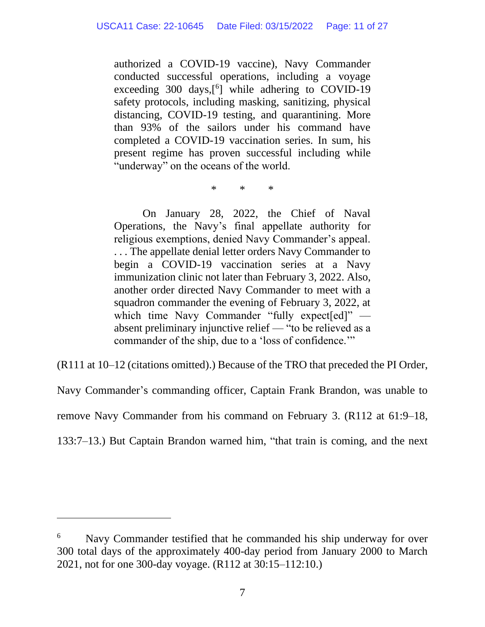authorized a COVID-19 vaccine), Navy Commander conducted successful operations, including a voyage exceeding 300 days,<sup>[6</sup>] while adhering to COVID-19 safety protocols, including masking, sanitizing, physical distancing, COVID-19 testing, and quarantining. More than 93% of the sailors under his command have completed a COVID-19 vaccination series. In sum, his present regime has proven successful including while "underway" on the oceans of the world.

\* \* \*

On January 28, 2022, the Chief of Naval Operations, the Navy's final appellate authority for religious exemptions, denied Navy Commander's appeal. . . . The appellate denial letter orders Navy Commander to begin a COVID-19 vaccination series at a Navy immunization clinic not later than February 3, 2022. Also, another order directed Navy Commander to meet with a squadron commander the evening of February 3, 2022, at which time Navy Commander "fully expect[ed]" absent preliminary injunctive relief — "to be relieved as a commander of the ship, due to a 'loss of confidence.'"

(R111 at 10–12 (citations omitted).) Because of the TRO that preceded the PI Order,

Navy Commander's commanding officer, Captain Frank Brandon, was unable to

remove Navy Commander from his command on February 3. (R112 at 61:9–18,

133:7–13.) But Captain Brandon warned him, "that train is coming, and the next

<sup>&</sup>lt;sup>6</sup> Navy Commander testified that he commanded his ship underway for over 300 total days of the approximately 400-day period from January 2000 to March 2021, not for one 300-day voyage. (R112 at 30:15–112:10.)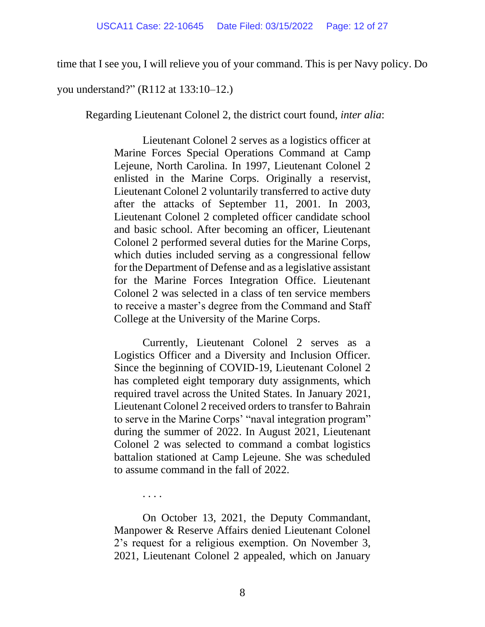time that I see you, I will relieve you of your command. This is per Navy policy. Do

you understand?" (R112 at 133:10–12.)

. . . .

Regarding Lieutenant Colonel 2, the district court found, *inter alia*:

Lieutenant Colonel 2 serves as a logistics officer at Marine Forces Special Operations Command at Camp Lejeune, North Carolina. In 1997, Lieutenant Colonel 2 enlisted in the Marine Corps. Originally a reservist, Lieutenant Colonel 2 voluntarily transferred to active duty after the attacks of September 11, 2001. In 2003, Lieutenant Colonel 2 completed officer candidate school and basic school. After becoming an officer, Lieutenant Colonel 2 performed several duties for the Marine Corps, which duties included serving as a congressional fellow for the Department of Defense and as a legislative assistant for the Marine Forces Integration Office. Lieutenant Colonel 2 was selected in a class of ten service members to receive a master's degree from the Command and Staff College at the University of the Marine Corps.

Currently, Lieutenant Colonel 2 serves as a Logistics Officer and a Diversity and Inclusion Officer. Since the beginning of COVID-19, Lieutenant Colonel 2 has completed eight temporary duty assignments, which required travel across the United States. In January 2021, Lieutenant Colonel 2 received orders to transfer to Bahrain to serve in the Marine Corps' "naval integration program" during the summer of 2022. In August 2021, Lieutenant Colonel 2 was selected to command a combat logistics battalion stationed at Camp Lejeune. She was scheduled to assume command in the fall of 2022.

On October 13, 2021, the Deputy Commandant, Manpower & Reserve Affairs denied Lieutenant Colonel 2's request for a religious exemption. On November 3, 2021, Lieutenant Colonel 2 appealed, which on January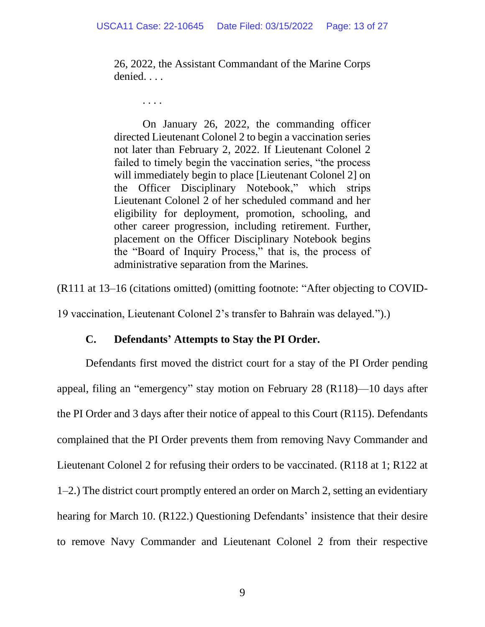26, 2022, the Assistant Commandant of the Marine Corps denied. . . .

. . . .

On January 26, 2022, the commanding officer directed Lieutenant Colonel 2 to begin a vaccination series not later than February 2, 2022. If Lieutenant Colonel 2 failed to timely begin the vaccination series, "the process will immediately begin to place [Lieutenant Colonel 2] on the Officer Disciplinary Notebook," which strips Lieutenant Colonel 2 of her scheduled command and her eligibility for deployment, promotion, schooling, and other career progression, including retirement. Further, placement on the Officer Disciplinary Notebook begins the "Board of Inquiry Process," that is, the process of administrative separation from the Marines.

(R111 at 13–16 (citations omitted) (omitting footnote: "After objecting to COVID-

19 vaccination, Lieutenant Colonel 2's transfer to Bahrain was delayed.").)

#### **C. Defendants' Attempts to Stay the PI Order.**

Defendants first moved the district court for a stay of the PI Order pending appeal, filing an "emergency" stay motion on February 28 (R118)—10 days after the PI Order and 3 days after their notice of appeal to this Court (R115). Defendants complained that the PI Order prevents them from removing Navy Commander and Lieutenant Colonel 2 for refusing their orders to be vaccinated. (R118 at 1; R122 at 1–2.) The district court promptly entered an order on March 2, setting an evidentiary hearing for March 10. (R122.) Questioning Defendants' insistence that their desire to remove Navy Commander and Lieutenant Colonel 2 from their respective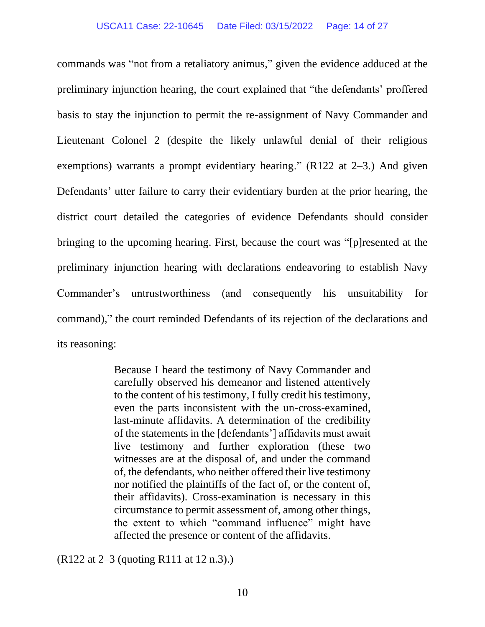commands was "not from a retaliatory animus," given the evidence adduced at the preliminary injunction hearing, the court explained that "the defendants' proffered basis to stay the injunction to permit the re-assignment of Navy Commander and Lieutenant Colonel 2 (despite the likely unlawful denial of their religious exemptions) warrants a prompt evidentiary hearing." (R122 at 2–3.) And given Defendants' utter failure to carry their evidentiary burden at the prior hearing, the district court detailed the categories of evidence Defendants should consider bringing to the upcoming hearing. First, because the court was "[p]resented at the preliminary injunction hearing with declarations endeavoring to establish Navy Commander's untrustworthiness (and consequently his unsuitability for command)," the court reminded Defendants of its rejection of the declarations and its reasoning:

> Because I heard the testimony of Navy Commander and carefully observed his demeanor and listened attentively to the content of his testimony, I fully credit his testimony, even the parts inconsistent with the un-cross-examined, last-minute affidavits. A determination of the credibility of the statements in the [defendants'] affidavits must await live testimony and further exploration (these two witnesses are at the disposal of, and under the command of, the defendants, who neither offered their live testimony nor notified the plaintiffs of the fact of, or the content of, their affidavits). Cross-examination is necessary in this circumstance to permit assessment of, among other things, the extent to which "command influence" might have affected the presence or content of the affidavits.

(R122 at 2–3 (quoting R111 at 12 n.3).)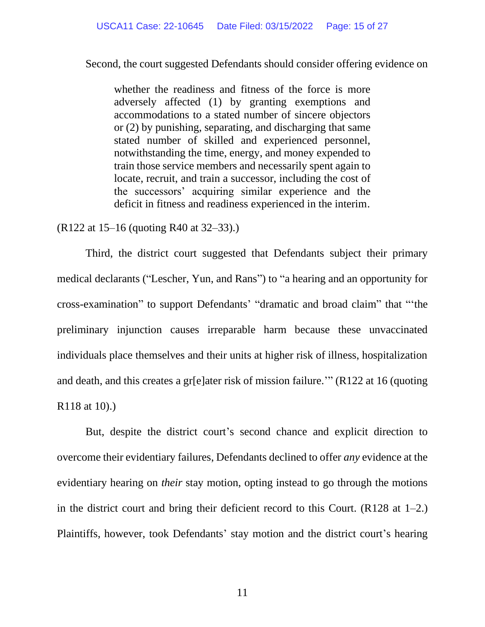Second, the court suggested Defendants should consider offering evidence on

whether the readiness and fitness of the force is more adversely affected (1) by granting exemptions and accommodations to a stated number of sincere objectors or (2) by punishing, separating, and discharging that same stated number of skilled and experienced personnel, notwithstanding the time, energy, and money expended to train those service members and necessarily spent again to locate, recruit, and train a successor, including the cost of the successors' acquiring similar experience and the deficit in fitness and readiness experienced in the interim.

(R122 at 15–16 (quoting R40 at 32–33).)

Third, the district court suggested that Defendants subject their primary medical declarants ("Lescher, Yun, and Rans") to "a hearing and an opportunity for cross-examination" to support Defendants' "dramatic and broad claim" that "'the preliminary injunction causes irreparable harm because these unvaccinated individuals place themselves and their units at higher risk of illness, hospitalization and death, and this creates a gr[e]ater risk of mission failure.'" (R122 at 16 (quoting R118 at 10).)

But, despite the district court's second chance and explicit direction to overcome their evidentiary failures, Defendants declined to offer *any* evidence at the evidentiary hearing on *their* stay motion, opting instead to go through the motions in the district court and bring their deficient record to this Court. (R128 at 1–2.) Plaintiffs, however, took Defendants' stay motion and the district court's hearing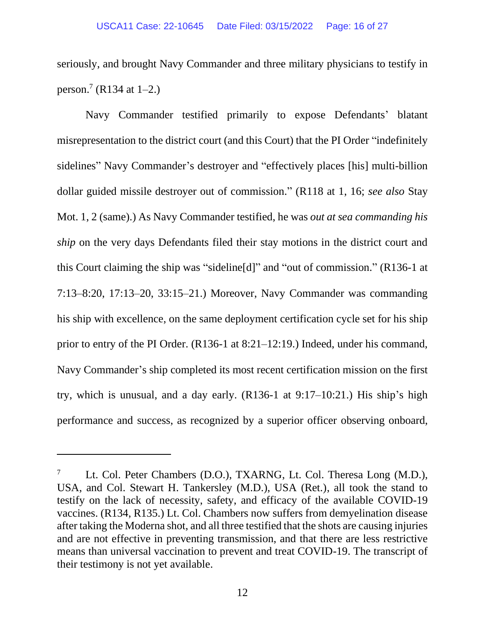seriously, and brought Navy Commander and three military physicians to testify in person.<sup>7</sup> (R134 at 1–2.)

Navy Commander testified primarily to expose Defendants' blatant misrepresentation to the district court (and this Court) that the PI Order "indefinitely sidelines" Navy Commander's destroyer and "effectively places [his] multi-billion dollar guided missile destroyer out of commission." (R118 at 1, 16; *see also* Stay Mot. 1, 2 (same).) As Navy Commander testified, he was *out at sea commanding his ship* on the very days Defendants filed their stay motions in the district court and this Court claiming the ship was "sideline[d]" and "out of commission." (R136-1 at 7:13–8:20, 17:13–20, 33:15–21.) Moreover, Navy Commander was commanding his ship with excellence, on the same deployment certification cycle set for his ship prior to entry of the PI Order. (R136-1 at 8:21–12:19.) Indeed, under his command, Navy Commander's ship completed its most recent certification mission on the first try, which is unusual, and a day early. (R136-1 at 9:17–10:21.) His ship's high performance and success, as recognized by a superior officer observing onboard,

Lt. Col. Peter Chambers (D.O.), TXARNG, Lt. Col. Theresa Long (M.D.), USA, and Col. Stewart H. Tankersley (M.D.), USA (Ret.), all took the stand to testify on the lack of necessity, safety, and efficacy of the available COVID-19 vaccines. (R134, R135.) Lt. Col. Chambers now suffers from demyelination disease after taking the Moderna shot, and all three testified that the shots are causing injuries and are not effective in preventing transmission, and that there are less restrictive means than universal vaccination to prevent and treat COVID-19. The transcript of their testimony is not yet available.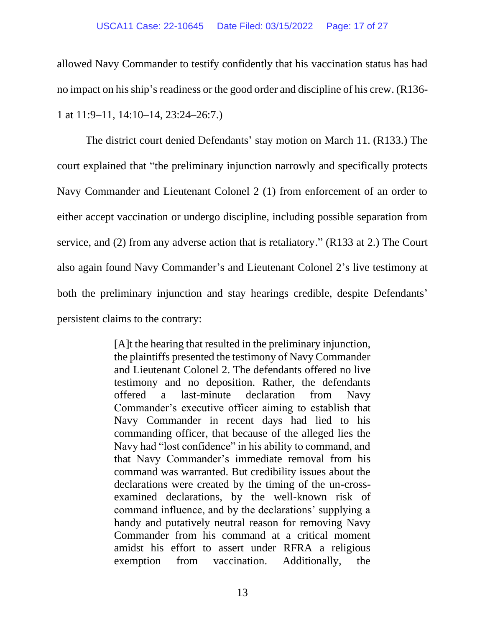#### USCA11 Case: 22-10645 Date Filed: 03/15/2022 Page: 17 of 27

allowed Navy Commander to testify confidently that his vaccination status has had no impact on his ship's readiness or the good order and discipline of his crew. (R136- 1 at 11:9–11, 14:10–14, 23:24–26:7.)

The district court denied Defendants' stay motion on March 11. (R133.) The court explained that "the preliminary injunction narrowly and specifically protects Navy Commander and Lieutenant Colonel 2 (1) from enforcement of an order to either accept vaccination or undergo discipline, including possible separation from service, and (2) from any adverse action that is retaliatory." (R133 at 2.) The Court also again found Navy Commander's and Lieutenant Colonel 2's live testimony at both the preliminary injunction and stay hearings credible, despite Defendants' persistent claims to the contrary:

> [A]t the hearing that resulted in the preliminary injunction, the plaintiffs presented the testimony of Navy Commander and Lieutenant Colonel 2. The defendants offered no live testimony and no deposition. Rather, the defendants offered a last-minute declaration from Navy Commander's executive officer aiming to establish that Navy Commander in recent days had lied to his commanding officer, that because of the alleged lies the Navy had "lost confidence" in his ability to command, and that Navy Commander's immediate removal from his command was warranted. But credibility issues about the declarations were created by the timing of the un-crossexamined declarations, by the well-known risk of command influence, and by the declarations' supplying a handy and putatively neutral reason for removing Navy Commander from his command at a critical moment amidst his effort to assert under RFRA a religious exemption from vaccination. Additionally, the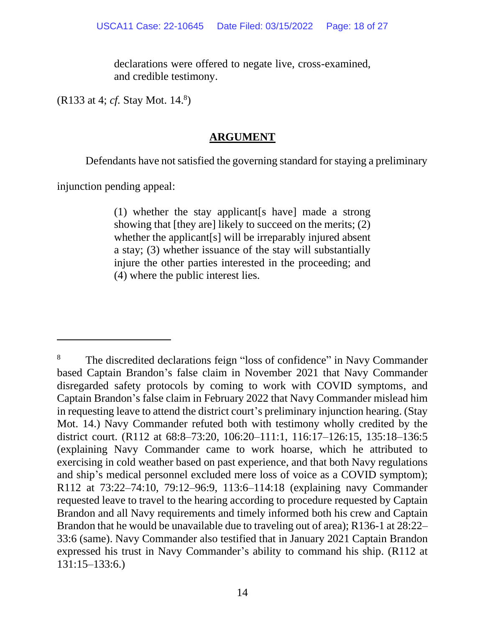declarations were offered to negate live, cross-examined, and credible testimony.

(R133 at 4; *cf.* Stay Mot. 14.<sup>8</sup> )

## **ARGUMENT**

Defendants have not satisfied the governing standard for staying a preliminary

injunction pending appeal:

(1) whether the stay applicant[s have] made a strong showing that [they are] likely to succeed on the merits; (2) whether the applicant[s] will be irreparably injured absent a stay; (3) whether issuance of the stay will substantially injure the other parties interested in the proceeding; and (4) where the public interest lies.

<sup>&</sup>lt;sup>8</sup> The discredited declarations feign "loss of confidence" in Navy Commander based Captain Brandon's false claim in November 2021 that Navy Commander disregarded safety protocols by coming to work with COVID symptoms, and Captain Brandon's false claim in February 2022 that Navy Commander mislead him in requesting leave to attend the district court's preliminary injunction hearing. (Stay Mot. 14.) Navy Commander refuted both with testimony wholly credited by the district court. (R112 at 68:8–73:20, 106:20–111:1, 116:17–126:15, 135:18–136:5 (explaining Navy Commander came to work hoarse, which he attributed to exercising in cold weather based on past experience, and that both Navy regulations and ship's medical personnel excluded mere loss of voice as a COVID symptom); R112 at 73:22–74:10, 79:12–96:9, 113:6–114:18 (explaining navy Commander requested leave to travel to the hearing according to procedure requested by Captain Brandon and all Navy requirements and timely informed both his crew and Captain Brandon that he would be unavailable due to traveling out of area); R136-1 at 28:22– 33:6 (same). Navy Commander also testified that in January 2021 Captain Brandon expressed his trust in Navy Commander's ability to command his ship. (R112 at 131:15–133:6.)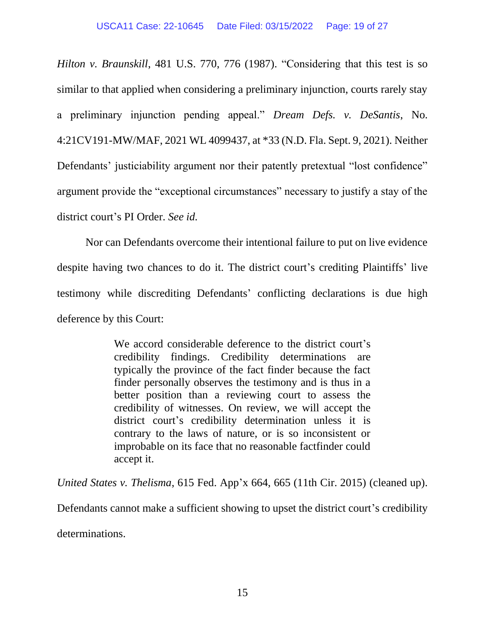*Hilton v. Braunskill*, 481 U.S. 770, 776 (1987). "Considering that this test is so similar to that applied when considering a preliminary injunction, courts rarely stay a preliminary injunction pending appeal." *Dream Defs. v. DeSantis*, No. 4:21CV191-MW/MAF, 2021 WL 4099437, at \*33 (N.D. Fla. Sept. 9, 2021). Neither Defendants' justiciability argument nor their patently pretextual "lost confidence" argument provide the "exceptional circumstances" necessary to justify a stay of the district court's PI Order. *See id.*

Nor can Defendants overcome their intentional failure to put on live evidence despite having two chances to do it. The district court's crediting Plaintiffs' live testimony while discrediting Defendants' conflicting declarations is due high deference by this Court:

> We accord considerable deference to the district court's credibility findings. Credibility determinations are typically the province of the fact finder because the fact finder personally observes the testimony and is thus in a better position than a reviewing court to assess the credibility of witnesses. On review, we will accept the district court's credibility determination unless it is contrary to the laws of nature, or is so inconsistent or improbable on its face that no reasonable factfinder could accept it.

*United States v. Thelisma*, 615 Fed. App'x 664, 665 (11th Cir. 2015) (cleaned up).

Defendants cannot make a sufficient showing to upset the district court's credibility

determinations.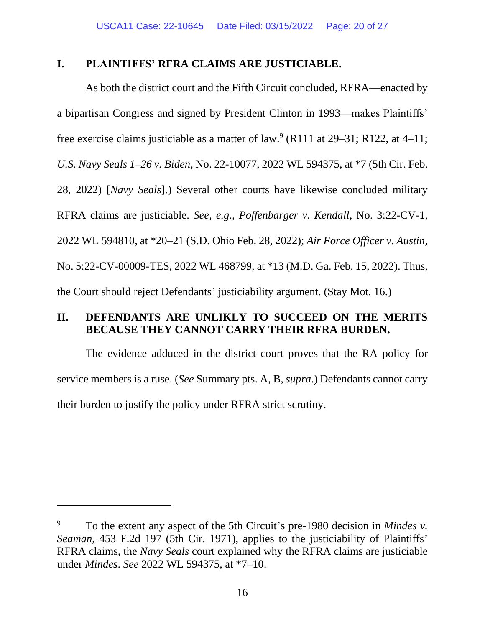#### **I. PLAINTIFFS' RFRA CLAIMS ARE JUSTICIABLE.**

As both the district court and the Fifth Circuit concluded, RFRA—enacted by a bipartisan Congress and signed by President Clinton in 1993—makes Plaintiffs' free exercise claims justiciable as a matter of law.<sup>9</sup> (R111 at 29–31; R122, at 4–11; *U.S. Navy Seals 1–26 v. Biden*, No. 22-10077, 2022 WL 594375, at \*7 (5th Cir. Feb. 28, 2022) [*Navy Seals*].) Several other courts have likewise concluded military RFRA claims are justiciable. *See, e.g.*, *Poffenbarger v. Kendall*, No. 3:22-CV-1, 2022 WL 594810, at \*20–21 (S.D. Ohio Feb. 28, 2022); *Air Force Officer v. Austin*, No. 5:22-CV-00009-TES, 2022 WL 468799, at \*13 (M.D. Ga. Feb. 15, 2022). Thus, the Court should reject Defendants' justiciability argument. (Stay Mot. 16.)

## **II. DEFENDANTS ARE UNLIKLY TO SUCCEED ON THE MERITS BECAUSE THEY CANNOT CARRY THEIR RFRA BURDEN.**

The evidence adduced in the district court proves that the RA policy for service members is a ruse. (*See* Summary pts. A, B, *supra*.) Defendants cannot carry their burden to justify the policy under RFRA strict scrutiny.

<sup>9</sup> To the extent any aspect of the 5th Circuit's pre-1980 decision in *Mindes v. Seaman*, 453 F.2d 197 (5th Cir. 1971), applies to the justiciability of Plaintiffs' RFRA claims, the *Navy Seals* court explained why the RFRA claims are justiciable under *Mindes*. *See* 2022 WL 594375, at \*7–10.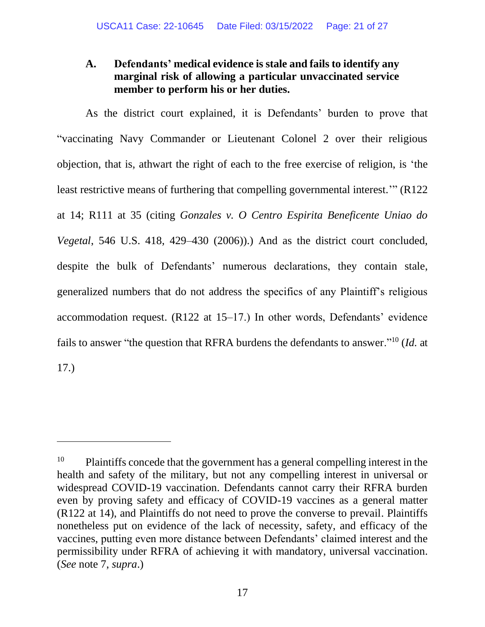## **A. Defendants' medical evidence is stale and fails to identify any marginal risk of allowing a particular unvaccinated service member to perform his or her duties.**

As the district court explained, it is Defendants' burden to prove that "vaccinating Navy Commander or Lieutenant Colonel 2 over their religious objection, that is, athwart the right of each to the free exercise of religion, is 'the least restrictive means of furthering that compelling governmental interest.'" (R122 at 14; R111 at 35 (citing *Gonzales v. O Centro Espirita Beneficente Uniao do Vegetal*, 546 U.S. 418, 429–430 (2006)).) And as the district court concluded, despite the bulk of Defendants' numerous declarations, they contain stale, generalized numbers that do not address the specifics of any Plaintiff's religious accommodation request. (R122 at 15–17.) In other words, Defendants' evidence fails to answer "the question that RFRA burdens the defendants to answer."<sup>10</sup> (*Id.* at 17.)

 $10$  Plaintiffs concede that the government has a general compelling interest in the health and safety of the military, but not any compelling interest in universal or widespread COVID-19 vaccination. Defendants cannot carry their RFRA burden even by proving safety and efficacy of COVID-19 vaccines as a general matter (R122 at 14), and Plaintiffs do not need to prove the converse to prevail. Plaintiffs nonetheless put on evidence of the lack of necessity, safety, and efficacy of the vaccines, putting even more distance between Defendants' claimed interest and the permissibility under RFRA of achieving it with mandatory, universal vaccination. (*See* note 7, *supra*.)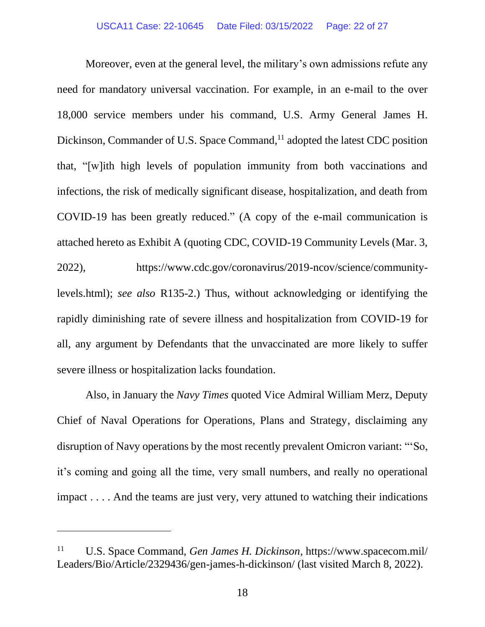Moreover, even at the general level, the military's own admissions refute any need for mandatory universal vaccination. For example, in an e-mail to the over 18,000 service members under his command, U.S. Army General James H. Dickinson, Commander of U.S. Space Command,<sup>11</sup> adopted the latest CDC position that, "[w]ith high levels of population immunity from both vaccinations and infections, the risk of medically significant disease, hospitalization, and death from COVID-19 has been greatly reduced." (A copy of the e-mail communication is attached hereto as Exhibit A (quoting CDC, COVID-19 Community Levels (Mar. 3, 2022), https://www.cdc.gov/coronavirus/2019-ncov/science/communitylevels.html); *see also* R135-2.) Thus, without acknowledging or identifying the rapidly diminishing rate of severe illness and hospitalization from COVID-19 for all, any argument by Defendants that the unvaccinated are more likely to suffer severe illness or hospitalization lacks foundation.

Also, in January the *Navy Times* quoted Vice Admiral William Merz, Deputy Chief of Naval Operations for Operations, Plans and Strategy, disclaiming any disruption of Navy operations by the most recently prevalent Omicron variant: "'So, it's coming and going all the time, very small numbers, and really no operational impact . . . . And the teams are just very, very attuned to watching their indications

<sup>11</sup> U.S. Space Command, *Gen James H. Dickinson*, https://www.spacecom.mil/ Leaders/Bio/Article/2329436/gen-james-h-dickinson/ (last visited March 8, 2022).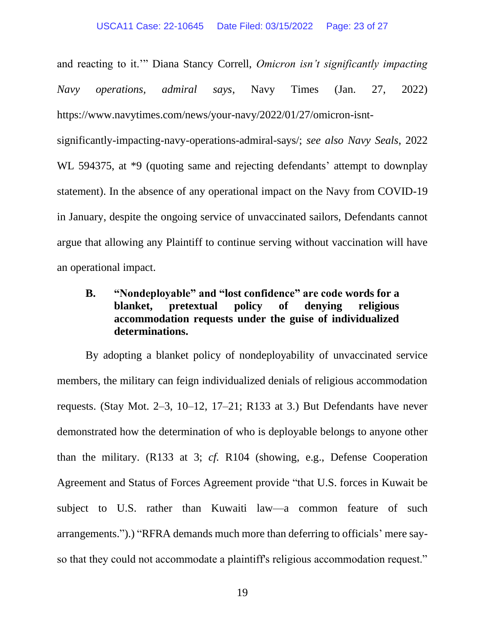#### USCA11 Case: 22-10645 Date Filed: 03/15/2022 Page: 23 of 27

and reacting to it.'" Diana Stancy Correll, *Omicron isn't significantly impacting Navy operations, admiral says*, Navy Times (Jan. 27, 2022) https://www.navytimes.com/news/your-navy/2022/01/27/omicron-isnt-

significantly-impacting-navy-operations-admiral-says/; *see also Navy Seals*, 2022 WL 594375, at  $*9$  (quoting same and rejecting defendants' attempt to downplay statement). In the absence of any operational impact on the Navy from COVID-19 in January, despite the ongoing service of unvaccinated sailors, Defendants cannot argue that allowing any Plaintiff to continue serving without vaccination will have an operational impact.

### **B. "Nondeployable" and "lost confidence" are code words for a blanket, pretextual policy of denying religious accommodation requests under the guise of individualized determinations.**

By adopting a blanket policy of nondeployability of unvaccinated service members, the military can feign individualized denials of religious accommodation requests. (Stay Mot. 2–3, 10–12, 17–21; R133 at 3.) But Defendants have never demonstrated how the determination of who is deployable belongs to anyone other than the military. (R133 at 3; *cf.* R104 (showing, e.g., Defense Cooperation Agreement and Status of Forces Agreement provide "that U.S. forces in Kuwait be subject to U.S. rather than Kuwaiti law—a common feature of such arrangements.").) "RFRA demands much more than deferring to officials' mere sayso that they could not accommodate a plaintiff's religious accommodation request."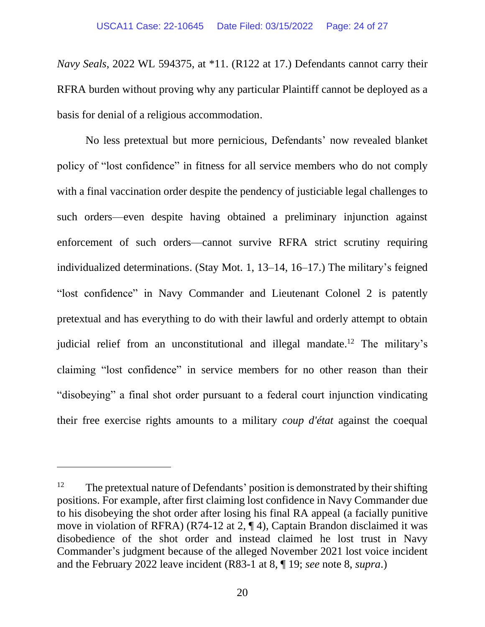*Navy Seals*, 2022 WL 594375, at \*11. (R122 at 17.) Defendants cannot carry their RFRA burden without proving why any particular Plaintiff cannot be deployed as a basis for denial of a religious accommodation.

No less pretextual but more pernicious, Defendants' now revealed blanket policy of "lost confidence" in fitness for all service members who do not comply with a final vaccination order despite the pendency of justiciable legal challenges to such orders—even despite having obtained a preliminary injunction against enforcement of such orders—cannot survive RFRA strict scrutiny requiring individualized determinations. (Stay Mot. 1, 13–14, 16–17.) The military's feigned "lost confidence" in Navy Commander and Lieutenant Colonel 2 is patently pretextual and has everything to do with their lawful and orderly attempt to obtain judicial relief from an unconstitutional and illegal mandate.<sup>12</sup> The military's claiming "lost confidence" in service members for no other reason than their "disobeying" a final shot order pursuant to a federal court injunction vindicating their free exercise rights amounts to a military *coup d'état* against the coequal

 $12$  The pretextual nature of Defendants' position is demonstrated by their shifting positions. For example, after first claiming lost confidence in Navy Commander due to his disobeying the shot order after losing his final RA appeal (a facially punitive move in violation of RFRA) (R74-12 at 2, ¶ 4), Captain Brandon disclaimed it was disobedience of the shot order and instead claimed he lost trust in Navy Commander's judgment because of the alleged November 2021 lost voice incident and the February 2022 leave incident (R83-1 at 8, ¶ 19; *see* note 8, *supra*.)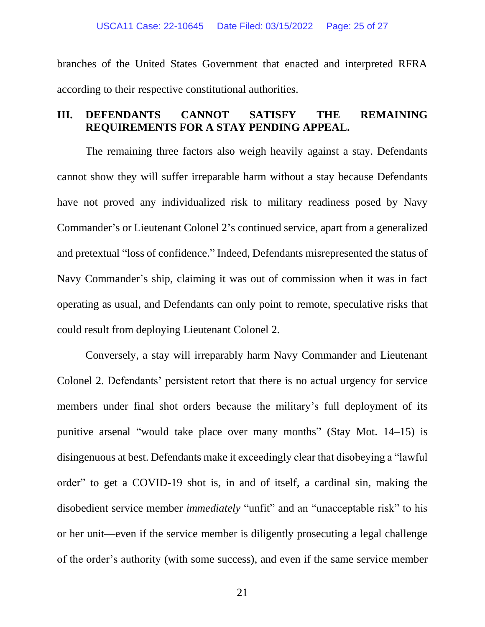branches of the United States Government that enacted and interpreted RFRA according to their respective constitutional authorities.

### **III. DEFENDANTS CANNOT SATISFY THE REMAINING REQUIREMENTS FOR A STAY PENDING APPEAL.**

The remaining three factors also weigh heavily against a stay. Defendants cannot show they will suffer irreparable harm without a stay because Defendants have not proved any individualized risk to military readiness posed by Navy Commander's or Lieutenant Colonel 2's continued service, apart from a generalized and pretextual "loss of confidence." Indeed, Defendants misrepresented the status of Navy Commander's ship, claiming it was out of commission when it was in fact operating as usual, and Defendants can only point to remote, speculative risks that could result from deploying Lieutenant Colonel 2.

Conversely, a stay will irreparably harm Navy Commander and Lieutenant Colonel 2. Defendants' persistent retort that there is no actual urgency for service members under final shot orders because the military's full deployment of its punitive arsenal "would take place over many months" (Stay Mot. 14–15) is disingenuous at best. Defendants make it exceedingly clear that disobeying a "lawful order" to get a COVID-19 shot is, in and of itself, a cardinal sin, making the disobedient service member *immediately* "unfit" and an "unacceptable risk" to his or her unit—even if the service member is diligently prosecuting a legal challenge of the order's authority (with some success), and even if the same service member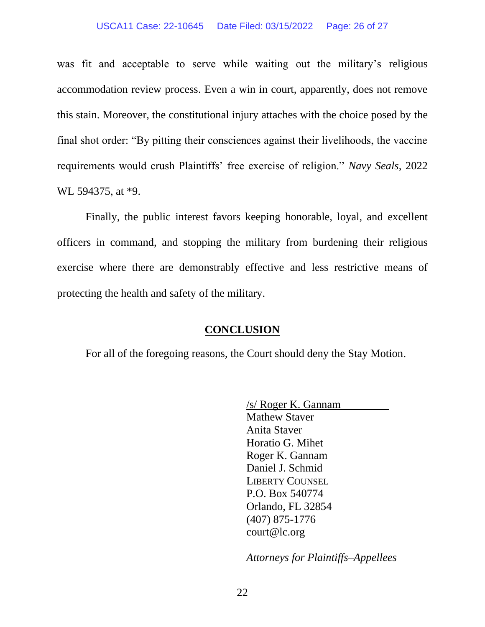#### USCA11 Case: 22-10645 Date Filed: 03/15/2022 Page: 26 of 27

was fit and acceptable to serve while waiting out the military's religious accommodation review process. Even a win in court, apparently, does not remove this stain. Moreover, the constitutional injury attaches with the choice posed by the final shot order: "By pitting their consciences against their livelihoods, the vaccine requirements would crush Plaintiffs' free exercise of religion." *Navy Seals*, 2022 WL 594375, at \*9.

Finally, the public interest favors keeping honorable, loyal, and excellent officers in command, and stopping the military from burdening their religious exercise where there are demonstrably effective and less restrictive means of protecting the health and safety of the military.

#### **CONCLUSION**

For all of the foregoing reasons, the Court should deny the Stay Motion.

/s/ Roger K. Gannam Mathew Staver Anita Staver Horatio G. Mihet Roger K. Gannam Daniel J. Schmid LIBERTY COUNSEL P.O. Box 540774 Orlando, FL 32854 (407) 875-1776 court@lc.org

*Attorneys for Plaintiffs–Appellees*